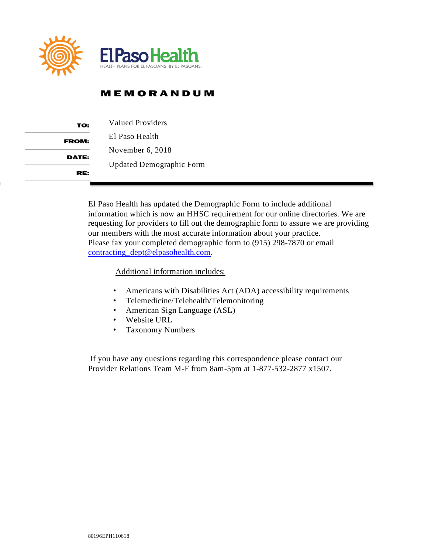

## **MEMORANDUM**

| TO:          | Valued Providers                |  |  |  |  |
|--------------|---------------------------------|--|--|--|--|
| <b>FROM:</b> | El Paso Health                  |  |  |  |  |
| DATE:        | November $6, 2018$              |  |  |  |  |
|              | <b>Updated Demographic Form</b> |  |  |  |  |
| RE.          |                                 |  |  |  |  |

El Paso Health has updated the Demographic Form to include additional information which is now an HHSC requirement for our online directories. We are requesting for providers to fill out the demographic form to assure we are providing our members with the most accurate information about your practice. Please fax your completed demographic form to (915) 298-7870 or email [contracting\\_dept@elpasohealth.com.](mailto:contracting_dept@elpasohealth.com)

Additional information includes:

- Americans with Disabilities Act (ADA) accessibility requirements
- Telemedicine/Telehealth/Telemonitoring
- American Sign Language (ASL)
- Website URL
- Taxonomy Numbers

 If you have any questions regarding this correspondence please contact our Provider Relations Team M-F from 8am-5pm at 1-877-532-2877 x1507.